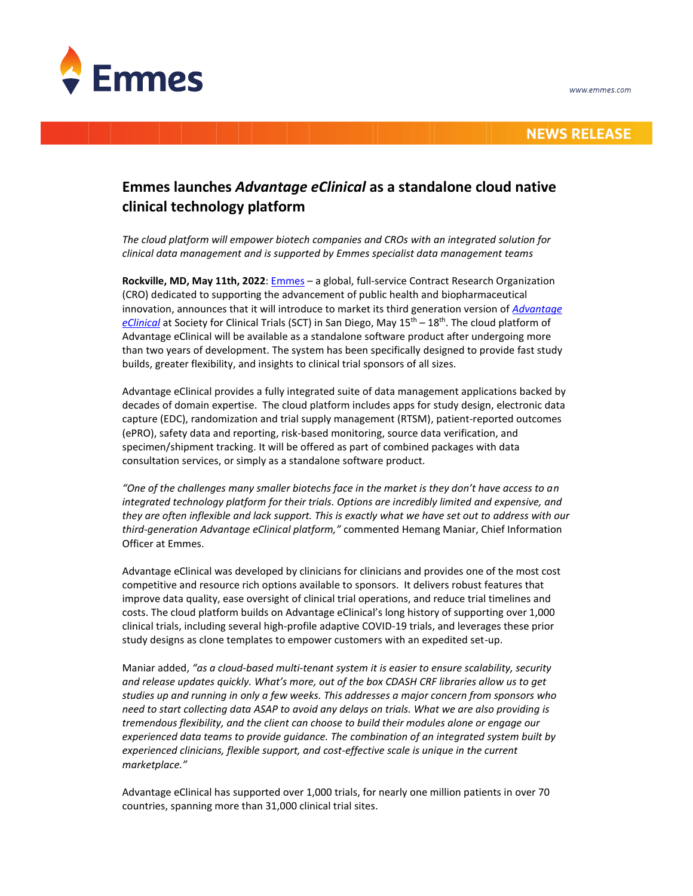

## **NEWS RELEASE**

# **Emmes launches** *Advantage eClinical* **as a standalone cloud native clinical technology platform**

*The cloud platform will empower biotech companies and CROs with an integrated solution for clinical data management and is supported by Emmes specialist data management teams*

**Rockville, MD, May 11th, 2022**[: Emmes](https://emmes.com/) – a global, full-service Contract Research Organization (CRO) dedicated to supporting the advancement of public health and biopharmaceutical innovation, announces that it will introduce to market its third generation version of *[Advantage](https://emmes.com/advantage-eclinical)*  [eClinical](https://emmes.com/advantage-eclinical) at Society for Clinical Trials (SCT) in San Diego, May 15<sup>th</sup> – 18<sup>th</sup>. The cloud platform of Advantage eClinical will be available as a standalone software product after undergoing more than two years of development. The system has been specifically designed to provide fast study builds, greater flexibility, and insights to clinical trial sponsors of all sizes.

Advantage eClinical provides a fully integrated suite of data management applications backed by decades of domain expertise. The cloud platform includes apps for study design, electronic data capture (EDC), randomization and trial supply management (RTSM), patient-reported outcomes (ePRO), safety data and reporting, risk-based monitoring, source data verification, and specimen/shipment tracking. It will be offered as part of combined packages with data consultation services, or simply as a standalone software product.

*"One of the challenges many smaller biotechs face in the market is they don't have access to an integrated technology platform for their trials. Options are incredibly limited and expensive, and they are often inflexible and lack support. This is exactly what we have set out to address with our third-generation Advantage eClinical platform,"* commented Hemang Maniar, Chief Information Officer at Emmes.

Advantage eClinical was developed by clinicians for clinicians and provides one of the most cost competitive and resource rich options available to sponsors. It delivers robust features that improve data quality, ease oversight of clinical trial operations, and reduce trial timelines and costs. The cloud platform builds on Advantage eClinical's long history of supporting over 1,000 clinical trials, including several high-profile adaptive COVID-19 trials, and leverages these prior study designs as clone templates to empower customers with an expedited set-up.

Maniar added, *"as a cloud-based multi-tenant system it is easier to ensure scalability, security and release updates quickly. What's more, out of the box CDASH CRF libraries allow us to get studies up and running in only a few weeks. This addresses a major concern from sponsors who need to start collecting data ASAP to avoid any delays on trials. What we are also providing is tremendous flexibility, and the client can choose to build their modules alone or engage our experienced data teams to provide guidance. The combination of an integrated system built by experienced clinicians, flexible support, and cost-effective scale is unique in the current marketplace."*

Advantage eClinical has supported over 1,000 trials, for nearly one million patients in over 70 countries, spanning more than 31,000 clinical trial sites.